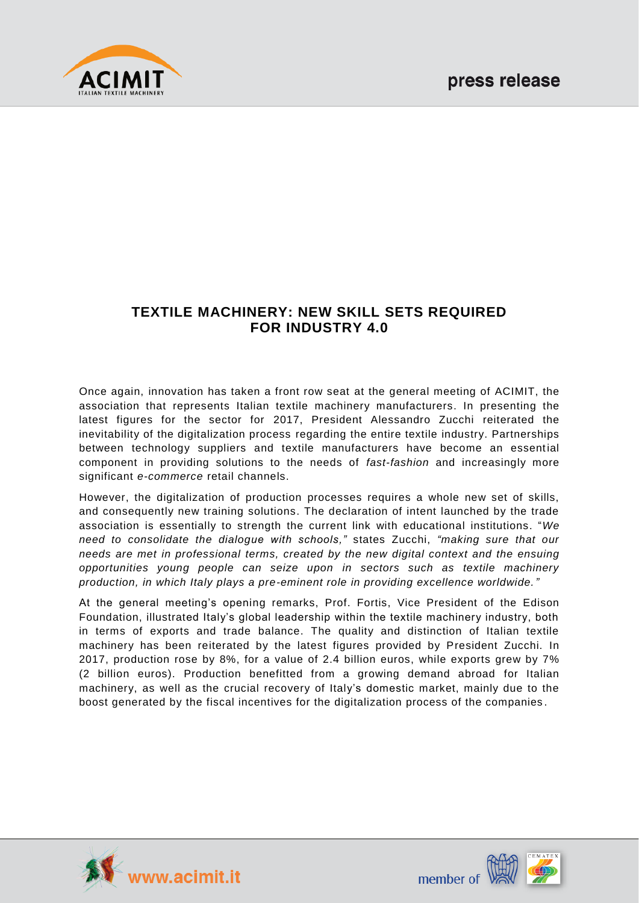

# **TEXTILE MACHINERY: NEW SKILL SETS REQUIRED FOR INDUSTRY 4.0**

Once again, innovation has taken a front row seat at the general meeting of ACIMIT, the association that represents Italian textile machinery manufacturers. In presenting the latest figures for the sector for 2017, President Alessandro Zucchi reiterated the inevitability of the digitalization process regarding the entire textile industry. Partnerships between technology suppliers and textile manufacturers have become an essential component in providing solutions to the needs of *fast-fashion* and increasingly more significant *e-commerce* retail channels.

However, the digitalization of production processes requires a whole new set of skills, and consequently new training solutions. The declaration of intent launched by the trade association is essentially to strength the current link with educational institutions. "*We need to consolidate the dialogue with schools,"* states Zucchi, *"making sure that our needs are met in professional terms, created by the new digital context and the ensuing opportunities young people can seize upon in sectors such as textile machinery production, in which Italy plays a pre-eminent role in providing excellence worldwide."* 

At the general meeting's opening remarks, Prof. Fortis, Vice President of the Edison Foundation, illustrated Italy's global leadership within the textile machinery industry, both in terms of exports and trade balance. The quality and distinction of Italian textile machinery has been reiterated by the latest figures provided by President Zucchi. In 2017, production rose by 8%, for a value of 2.4 billion euros, while exports grew by 7% (2 billion euros). Production benefitted from a growing demand abroad for Italian machinery, as well as the crucial recovery of Italy's domestic market, mainly due to the boost generated by the fiscal incentives for the digitalization process of the companies .